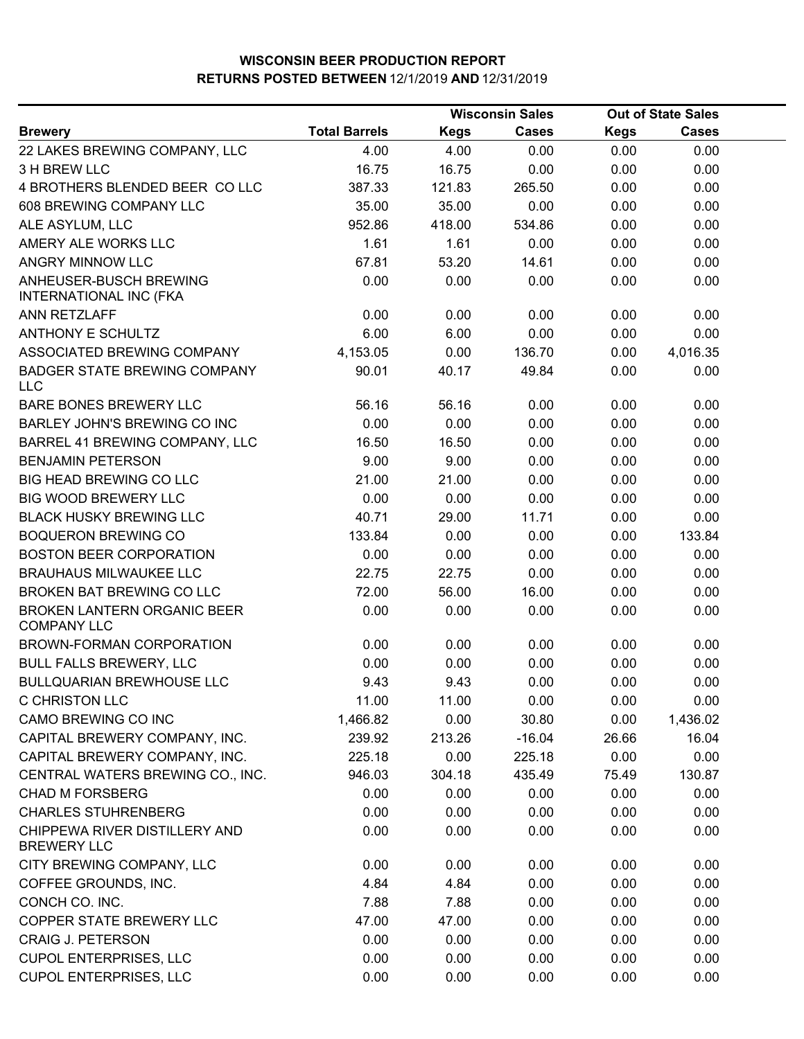|                                                          | <b>Wisconsin Sales</b> |             | <b>Out of State Sales</b> |             |              |  |
|----------------------------------------------------------|------------------------|-------------|---------------------------|-------------|--------------|--|
| <b>Brewery</b>                                           | <b>Total Barrels</b>   | <b>Kegs</b> | <b>Cases</b>              | <b>Kegs</b> | <b>Cases</b> |  |
| 22 LAKES BREWING COMPANY, LLC                            | 4.00                   | 4.00        | 0.00                      | 0.00        | 0.00         |  |
| 3 H BREW LLC                                             | 16.75                  | 16.75       | 0.00                      | 0.00        | 0.00         |  |
| 4 BROTHERS BLENDED BEER COLLC                            | 387.33                 | 121.83      | 265.50                    | 0.00        | 0.00         |  |
| 608 BREWING COMPANY LLC                                  | 35.00                  | 35.00       | 0.00                      | 0.00        | 0.00         |  |
| ALE ASYLUM, LLC                                          | 952.86                 | 418.00      | 534.86                    | 0.00        | 0.00         |  |
| AMERY ALE WORKS LLC                                      | 1.61                   | 1.61        | 0.00                      | 0.00        | 0.00         |  |
| ANGRY MINNOW LLC                                         | 67.81                  | 53.20       | 14.61                     | 0.00        | 0.00         |  |
| ANHEUSER-BUSCH BREWING<br><b>INTERNATIONAL INC (FKA</b>  | 0.00                   | 0.00        | 0.00                      | 0.00        | 0.00         |  |
| <b>ANN RETZLAFF</b>                                      | 0.00                   | 0.00        | 0.00                      | 0.00        | 0.00         |  |
| <b>ANTHONY E SCHULTZ</b>                                 | 6.00                   | 6.00        | 0.00                      | 0.00        | 0.00         |  |
| ASSOCIATED BREWING COMPANY                               | 4,153.05               | 0.00        | 136.70                    | 0.00        | 4,016.35     |  |
| <b>BADGER STATE BREWING COMPANY</b><br><b>LLC</b>        | 90.01                  | 40.17       | 49.84                     | 0.00        | 0.00         |  |
| BARE BONES BREWERY LLC                                   | 56.16                  | 56.16       | 0.00                      | 0.00        | 0.00         |  |
| <b>BARLEY JOHN'S BREWING CO INC</b>                      | 0.00                   | 0.00        | 0.00                      | 0.00        | 0.00         |  |
| BARREL 41 BREWING COMPANY, LLC                           | 16.50                  | 16.50       | 0.00                      | 0.00        | 0.00         |  |
| <b>BENJAMIN PETERSON</b>                                 | 9.00                   | 9.00        | 0.00                      | 0.00        | 0.00         |  |
| <b>BIG HEAD BREWING CO LLC</b>                           | 21.00                  | 21.00       | 0.00                      | 0.00        | 0.00         |  |
| <b>BIG WOOD BREWERY LLC</b>                              | 0.00                   | 0.00        | 0.00                      | 0.00        | 0.00         |  |
| <b>BLACK HUSKY BREWING LLC</b>                           | 40.71                  | 29.00       | 11.71                     | 0.00        | 0.00         |  |
| <b>BOQUERON BREWING CO</b>                               | 133.84                 | 0.00        | 0.00                      | 0.00        | 133.84       |  |
| <b>BOSTON BEER CORPORATION</b>                           | 0.00                   | 0.00        | 0.00                      | 0.00        | 0.00         |  |
| <b>BRAUHAUS MILWAUKEE LLC</b>                            | 22.75                  | 22.75       | 0.00                      | 0.00        | 0.00         |  |
| BROKEN BAT BREWING CO LLC                                | 72.00                  | 56.00       | 16.00                     | 0.00        | 0.00         |  |
| <b>BROKEN LANTERN ORGANIC BEER</b><br><b>COMPANY LLC</b> | 0.00                   | 0.00        | 0.00                      | 0.00        | 0.00         |  |
| BROWN-FORMAN CORPORATION                                 | 0.00                   | 0.00        | 0.00                      | 0.00        | 0.00         |  |
| <b>BULL FALLS BREWERY, LLC</b>                           | 0.00                   | 0.00        | 0.00                      | 0.00        | 0.00         |  |
| <b>BULLQUARIAN BREWHOUSE LLC</b>                         | 9.43                   | 9.43        | 0.00                      | 0.00        | 0.00         |  |
| C CHRISTON LLC                                           | 11.00                  | 11.00       | 0.00                      | 0.00        | 0.00         |  |
| CAMO BREWING CO INC                                      | 1,466.82               | 0.00        | 30.80                     | 0.00        | 1,436.02     |  |
| CAPITAL BREWERY COMPANY, INC.                            | 239.92                 | 213.26      | $-16.04$                  | 26.66       | 16.04        |  |
| CAPITAL BREWERY COMPANY, INC.                            | 225.18                 | 0.00        | 225.18                    | 0.00        | 0.00         |  |
| CENTRAL WATERS BREWING CO., INC.                         | 946.03                 | 304.18      | 435.49                    | 75.49       | 130.87       |  |
| <b>CHAD M FORSBERG</b>                                   | 0.00                   | 0.00        | 0.00                      | 0.00        | 0.00         |  |
| <b>CHARLES STUHRENBERG</b>                               | 0.00                   | 0.00        | 0.00                      | 0.00        | 0.00         |  |
| CHIPPEWA RIVER DISTILLERY AND<br><b>BREWERY LLC</b>      | 0.00                   | 0.00        | 0.00                      | 0.00        | 0.00         |  |
| CITY BREWING COMPANY, LLC                                | 0.00                   | 0.00        | 0.00                      | 0.00        | 0.00         |  |
| COFFEE GROUNDS, INC.                                     | 4.84                   | 4.84        | 0.00                      | 0.00        | 0.00         |  |
| CONCH CO. INC.                                           | 7.88                   | 7.88        | 0.00                      | 0.00        | 0.00         |  |
| COPPER STATE BREWERY LLC                                 | 47.00                  | 47.00       | 0.00                      | 0.00        | 0.00         |  |
| <b>CRAIG J. PETERSON</b>                                 | 0.00                   | 0.00        | 0.00                      | 0.00        | 0.00         |  |
| <b>CUPOL ENTERPRISES, LLC</b>                            | 0.00                   | 0.00        | 0.00                      | 0.00        | 0.00         |  |
| <b>CUPOL ENTERPRISES, LLC</b>                            | 0.00                   | 0.00        | 0.00                      | 0.00        | 0.00         |  |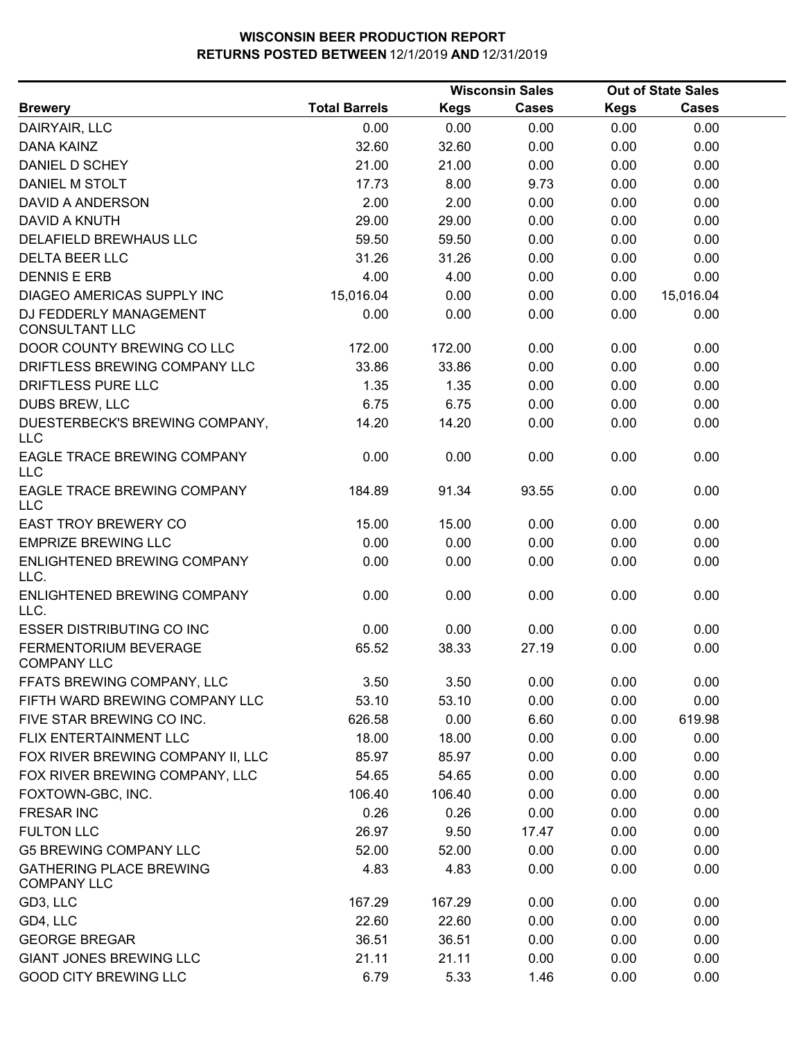|                                                      |                      |             | <b>Wisconsin Sales</b> | <b>Out of State Sales</b> |              |  |  |
|------------------------------------------------------|----------------------|-------------|------------------------|---------------------------|--------------|--|--|
| <b>Brewery</b>                                       | <b>Total Barrels</b> | <b>Kegs</b> | <b>Cases</b>           | <b>Kegs</b>               | <b>Cases</b> |  |  |
| DAIRYAIR, LLC                                        | 0.00                 | 0.00        | 0.00                   | 0.00                      | 0.00         |  |  |
| <b>DANA KAINZ</b>                                    | 32.60                | 32.60       | 0.00                   | 0.00                      | 0.00         |  |  |
| DANIEL D SCHEY                                       | 21.00                | 21.00       | 0.00                   | 0.00                      | 0.00         |  |  |
| DANIEL M STOLT                                       | 17.73                | 8.00        | 9.73                   | 0.00                      | 0.00         |  |  |
| DAVID A ANDERSON                                     | 2.00                 | 2.00        | 0.00                   | 0.00                      | 0.00         |  |  |
| <b>DAVID A KNUTH</b>                                 | 29.00                | 29.00       | 0.00                   | 0.00                      | 0.00         |  |  |
| DELAFIELD BREWHAUS LLC                               | 59.50                | 59.50       | 0.00                   | 0.00                      | 0.00         |  |  |
| DELTA BEER LLC                                       | 31.26                | 31.26       | 0.00                   | 0.00                      | 0.00         |  |  |
| <b>DENNIS E ERB</b>                                  | 4.00                 | 4.00        | 0.00                   | 0.00                      | 0.00         |  |  |
| DIAGEO AMERICAS SUPPLY INC                           | 15,016.04            | 0.00        | 0.00                   | 0.00                      | 15,016.04    |  |  |
| DJ FEDDERLY MANAGEMENT<br><b>CONSULTANT LLC</b>      | 0.00                 | 0.00        | 0.00                   | 0.00                      | 0.00         |  |  |
| DOOR COUNTY BREWING CO LLC                           | 172.00               | 172.00      | 0.00                   | 0.00                      | 0.00         |  |  |
| DRIFTLESS BREWING COMPANY LLC                        | 33.86                | 33.86       | 0.00                   | 0.00                      | 0.00         |  |  |
| DRIFTLESS PURE LLC                                   | 1.35                 | 1.35        | 0.00                   | 0.00                      | 0.00         |  |  |
| DUBS BREW, LLC                                       | 6.75                 | 6.75        | 0.00                   | 0.00                      | 0.00         |  |  |
| DUESTERBECK'S BREWING COMPANY,<br><b>LLC</b>         | 14.20                | 14.20       | 0.00                   | 0.00                      | 0.00         |  |  |
| EAGLE TRACE BREWING COMPANY<br><b>LLC</b>            | 0.00                 | 0.00        | 0.00                   | 0.00                      | 0.00         |  |  |
| EAGLE TRACE BREWING COMPANY<br><b>LLC</b>            | 184.89               | 91.34       | 93.55                  | 0.00                      | 0.00         |  |  |
| <b>EAST TROY BREWERY CO</b>                          | 15.00                | 15.00       | 0.00                   | 0.00                      | 0.00         |  |  |
| <b>EMPRIZE BREWING LLC</b>                           | 0.00                 | 0.00        | 0.00                   | 0.00                      | 0.00         |  |  |
| ENLIGHTENED BREWING COMPANY<br>LLC.                  | 0.00                 | 0.00        | 0.00                   | 0.00                      | 0.00         |  |  |
| ENLIGHTENED BREWING COMPANY<br>LLC.                  | 0.00                 | 0.00        | 0.00                   | 0.00                      | 0.00         |  |  |
| <b>ESSER DISTRIBUTING CO INC</b>                     | 0.00                 | 0.00        | 0.00                   | 0.00                      | 0.00         |  |  |
| FERMENTORIUM BEVERAGE<br><b>COMPANY LLC</b>          | 65.52                | 38.33       | 27.19                  | 0.00                      | 0.00         |  |  |
| FFATS BREWING COMPANY, LLC                           | 3.50                 | 3.50        | 0.00                   | 0.00                      | 0.00         |  |  |
| FIFTH WARD BREWING COMPANY LLC                       | 53.10                | 53.10       | 0.00                   | 0.00                      | 0.00         |  |  |
| FIVE STAR BREWING CO INC.                            | 626.58               | 0.00        | 6.60                   | 0.00                      | 619.98       |  |  |
| FLIX ENTERTAINMENT LLC                               | 18.00                | 18.00       | 0.00                   | 0.00                      | 0.00         |  |  |
| FOX RIVER BREWING COMPANY II, LLC                    | 85.97                | 85.97       | 0.00                   | 0.00                      | 0.00         |  |  |
| FOX RIVER BREWING COMPANY, LLC                       | 54.65                | 54.65       | 0.00                   | 0.00                      | 0.00         |  |  |
| FOXTOWN-GBC, INC.                                    | 106.40               | 106.40      | 0.00                   | 0.00                      | 0.00         |  |  |
| <b>FRESAR INC</b>                                    | 0.26                 | 0.26        | 0.00                   | 0.00                      | 0.00         |  |  |
| <b>FULTON LLC</b>                                    | 26.97                | 9.50        | 17.47                  | 0.00                      | 0.00         |  |  |
| <b>G5 BREWING COMPANY LLC</b>                        | 52.00                | 52.00       | 0.00                   | 0.00                      | 0.00         |  |  |
| <b>GATHERING PLACE BREWING</b><br><b>COMPANY LLC</b> | 4.83                 | 4.83        | 0.00                   | 0.00                      | 0.00         |  |  |
| GD3, LLC                                             | 167.29               | 167.29      | 0.00                   | 0.00                      | 0.00         |  |  |
| GD4, LLC                                             | 22.60                | 22.60       | 0.00                   | 0.00                      | 0.00         |  |  |
| <b>GEORGE BREGAR</b>                                 | 36.51                | 36.51       | 0.00                   | 0.00                      | 0.00         |  |  |
| <b>GIANT JONES BREWING LLC</b>                       | 21.11                | 21.11       | 0.00                   | 0.00                      | 0.00         |  |  |
| <b>GOOD CITY BREWING LLC</b>                         | 6.79                 | 5.33        | 1.46                   | 0.00                      | 0.00         |  |  |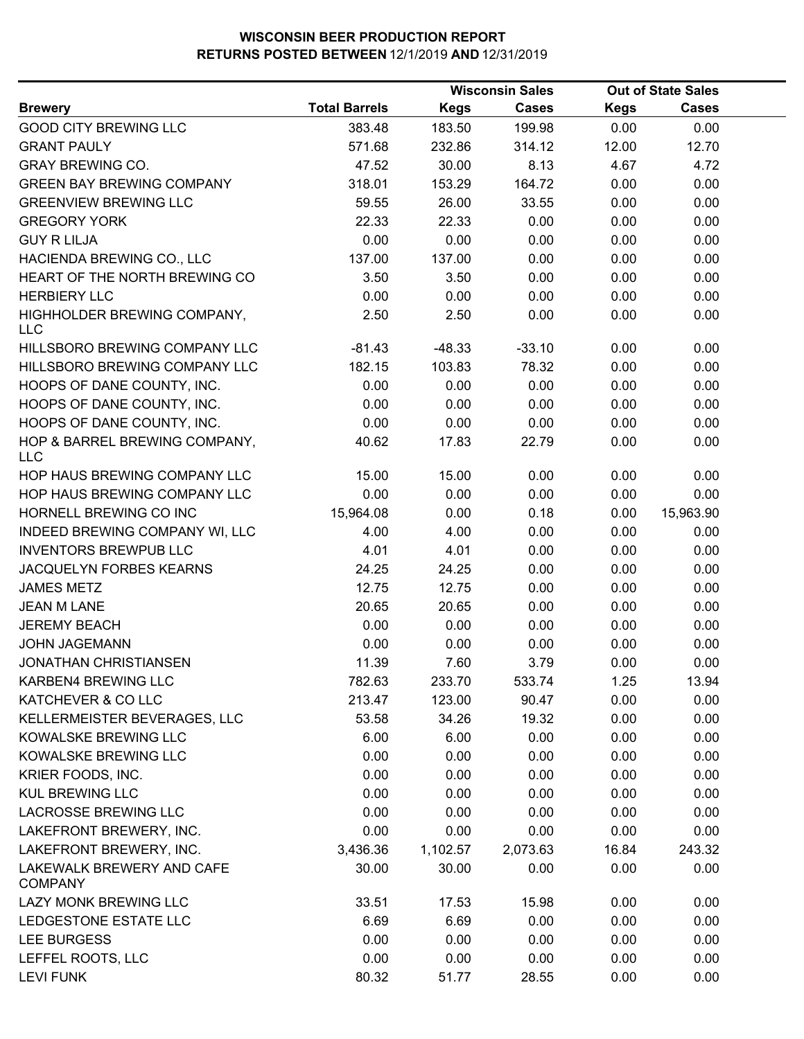|                                             |                      |             | <b>Wisconsin Sales</b> |             | <b>Out of State Sales</b> |  |
|---------------------------------------------|----------------------|-------------|------------------------|-------------|---------------------------|--|
| <b>Brewery</b>                              | <b>Total Barrels</b> | <b>Kegs</b> | Cases                  | <b>Kegs</b> | <b>Cases</b>              |  |
| <b>GOOD CITY BREWING LLC</b>                | 383.48               | 183.50      | 199.98                 | 0.00        | 0.00                      |  |
| <b>GRANT PAULY</b>                          | 571.68               | 232.86      | 314.12                 | 12.00       | 12.70                     |  |
| <b>GRAY BREWING CO.</b>                     | 47.52                | 30.00       | 8.13                   | 4.67        | 4.72                      |  |
| <b>GREEN BAY BREWING COMPANY</b>            | 318.01               | 153.29      | 164.72                 | 0.00        | 0.00                      |  |
| <b>GREENVIEW BREWING LLC</b>                | 59.55                | 26.00       | 33.55                  | 0.00        | 0.00                      |  |
| <b>GREGORY YORK</b>                         | 22.33                | 22.33       | 0.00                   | 0.00        | 0.00                      |  |
| <b>GUY R LILJA</b>                          | 0.00                 | 0.00        | 0.00                   | 0.00        | 0.00                      |  |
| HACIENDA BREWING CO., LLC                   | 137.00               | 137.00      | 0.00                   | 0.00        | 0.00                      |  |
| HEART OF THE NORTH BREWING CO               | 3.50                 | 3.50        | 0.00                   | 0.00        | 0.00                      |  |
| <b>HERBIERY LLC</b>                         | 0.00                 | 0.00        | 0.00                   | 0.00        | 0.00                      |  |
| HIGHHOLDER BREWING COMPANY,<br><b>LLC</b>   | 2.50                 | 2.50        | 0.00                   | 0.00        | 0.00                      |  |
| HILLSBORO BREWING COMPANY LLC               | $-81.43$             | $-48.33$    | $-33.10$               | 0.00        | 0.00                      |  |
| HILLSBORO BREWING COMPANY LLC               | 182.15               | 103.83      | 78.32                  | 0.00        | 0.00                      |  |
| HOOPS OF DANE COUNTY, INC.                  | 0.00                 | 0.00        | 0.00                   | 0.00        | 0.00                      |  |
| HOOPS OF DANE COUNTY, INC.                  | 0.00                 | 0.00        | 0.00                   | 0.00        | 0.00                      |  |
| HOOPS OF DANE COUNTY, INC.                  | 0.00                 | 0.00        | 0.00                   | 0.00        | 0.00                      |  |
| HOP & BARREL BREWING COMPANY,<br><b>LLC</b> | 40.62                | 17.83       | 22.79                  | 0.00        | 0.00                      |  |
| HOP HAUS BREWING COMPANY LLC                | 15.00                | 15.00       | 0.00                   | 0.00        | 0.00                      |  |
| HOP HAUS BREWING COMPANY LLC                | 0.00                 | 0.00        | 0.00                   | 0.00        | 0.00                      |  |
| HORNELL BREWING CO INC                      | 15,964.08            | 0.00        | 0.18                   | 0.00        | 15,963.90                 |  |
| INDEED BREWING COMPANY WI, LLC              | 4.00                 | 4.00        | 0.00                   | 0.00        | 0.00                      |  |
| <b>INVENTORS BREWPUB LLC</b>                | 4.01                 | 4.01        | 0.00                   | 0.00        | 0.00                      |  |
| JACQUELYN FORBES KEARNS                     | 24.25                | 24.25       | 0.00                   | 0.00        | 0.00                      |  |
| <b>JAMES METZ</b>                           | 12.75                | 12.75       | 0.00                   | 0.00        | 0.00                      |  |
| <b>JEAN M LANE</b>                          | 20.65                | 20.65       | 0.00                   | 0.00        | 0.00                      |  |
| <b>JEREMY BEACH</b>                         | 0.00                 | 0.00        | 0.00                   | 0.00        | 0.00                      |  |
| <b>JOHN JAGEMANN</b>                        | 0.00                 | 0.00        | 0.00                   | 0.00        | 0.00                      |  |
| <b>JONATHAN CHRISTIANSEN</b>                | 11.39                | 7.60        | 3.79                   | 0.00        | 0.00                      |  |
| KARBEN4 BREWING LLC                         | 782.63               | 233.70      | 533.74                 | 1.25        | 13.94                     |  |
| KATCHEVER & CO LLC                          | 213.47               | 123.00      | 90.47                  | 0.00        | 0.00                      |  |
| KELLERMEISTER BEVERAGES, LLC                | 53.58                | 34.26       | 19.32                  | 0.00        | 0.00                      |  |
| KOWALSKE BREWING LLC                        | 6.00                 | 6.00        | 0.00                   | 0.00        | 0.00                      |  |
| KOWALSKE BREWING LLC                        | 0.00                 | 0.00        | 0.00                   | 0.00        | 0.00                      |  |
| KRIER FOODS, INC.                           | 0.00                 | 0.00        | 0.00                   | 0.00        | 0.00                      |  |
| <b>KUL BREWING LLC</b>                      | 0.00                 | 0.00        | 0.00                   | 0.00        | 0.00                      |  |
| <b>LACROSSE BREWING LLC</b>                 | 0.00                 | 0.00        | 0.00                   | 0.00        | 0.00                      |  |
| LAKEFRONT BREWERY, INC.                     | 0.00                 | 0.00        | 0.00                   | 0.00        | 0.00                      |  |
| LAKEFRONT BREWERY, INC.                     | 3,436.36             | 1,102.57    | 2,073.63               | 16.84       | 243.32                    |  |
| LAKEWALK BREWERY AND CAFE<br><b>COMPANY</b> | 30.00                | 30.00       | 0.00                   | 0.00        | 0.00                      |  |
| LAZY MONK BREWING LLC                       | 33.51                | 17.53       | 15.98                  | 0.00        | 0.00                      |  |
| LEDGESTONE ESTATE LLC                       | 6.69                 | 6.69        | 0.00                   | 0.00        | 0.00                      |  |
| LEE BURGESS                                 | 0.00                 | 0.00        | 0.00                   | 0.00        | 0.00                      |  |
| LEFFEL ROOTS, LLC                           | 0.00                 | 0.00        | 0.00                   | 0.00        | 0.00                      |  |
| <b>LEVI FUNK</b>                            | 80.32                | 51.77       | 28.55                  | 0.00        | 0.00                      |  |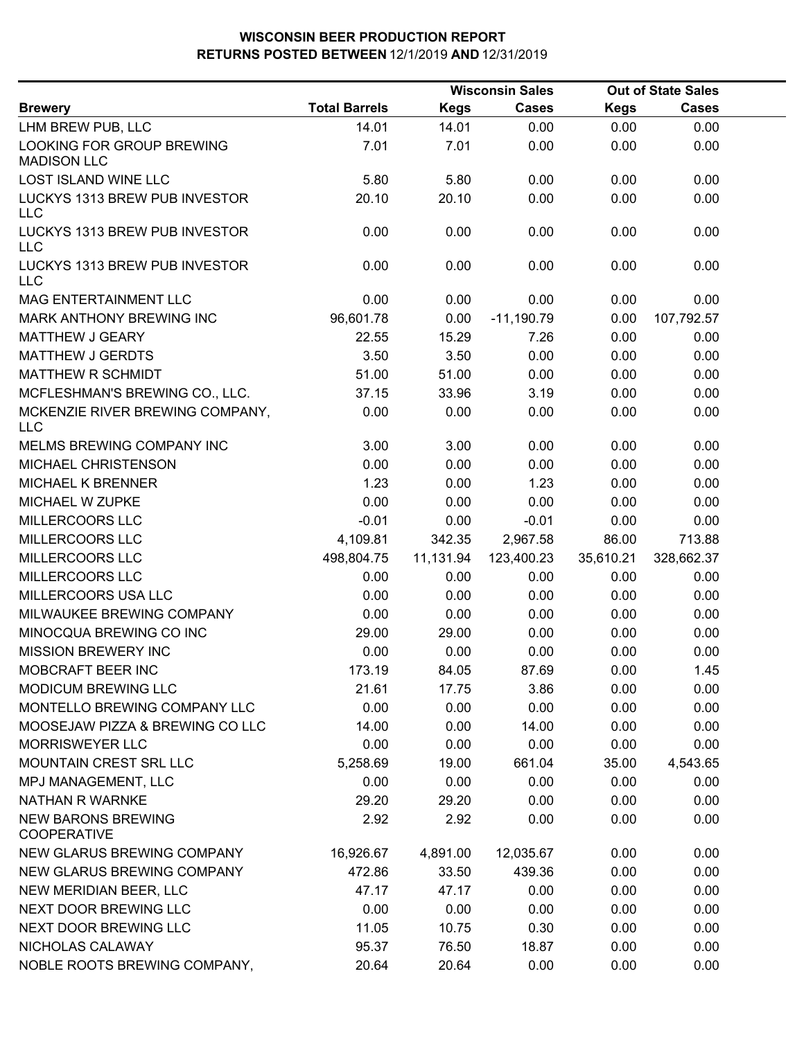|                                                 |                      |             | <b>Wisconsin Sales</b> |             | <b>Out of State Sales</b> |  |
|-------------------------------------------------|----------------------|-------------|------------------------|-------------|---------------------------|--|
| <b>Brewery</b>                                  | <b>Total Barrels</b> | <b>Kegs</b> | <b>Cases</b>           | <b>Kegs</b> | <b>Cases</b>              |  |
| LHM BREW PUB, LLC                               | 14.01                | 14.01       | 0.00                   | 0.00        | 0.00                      |  |
| LOOKING FOR GROUP BREWING<br><b>MADISON LLC</b> | 7.01                 | 7.01        | 0.00                   | 0.00        | 0.00                      |  |
| <b>LOST ISLAND WINE LLC</b>                     | 5.80                 | 5.80        | 0.00                   | 0.00        | 0.00                      |  |
| LUCKYS 1313 BREW PUB INVESTOR<br><b>LLC</b>     | 20.10                | 20.10       | 0.00                   | 0.00        | 0.00                      |  |
| LUCKYS 1313 BREW PUB INVESTOR<br><b>LLC</b>     | 0.00                 | 0.00        | 0.00                   | 0.00        | 0.00                      |  |
| LUCKYS 1313 BREW PUB INVESTOR<br><b>LLC</b>     | 0.00                 | 0.00        | 0.00                   | 0.00        | 0.00                      |  |
| MAG ENTERTAINMENT LLC                           | 0.00                 | 0.00        | 0.00                   | 0.00        | 0.00                      |  |
| MARK ANTHONY BREWING INC                        | 96,601.78            | 0.00        | $-11,190.79$           | 0.00        | 107,792.57                |  |
| <b>MATTHEW J GEARY</b>                          | 22.55                | 15.29       | 7.26                   | 0.00        | 0.00                      |  |
| <b>MATTHEW J GERDTS</b>                         | 3.50                 | 3.50        | 0.00                   | 0.00        | 0.00                      |  |
| <b>MATTHEW R SCHMIDT</b>                        | 51.00                | 51.00       | 0.00                   | 0.00        | 0.00                      |  |
| MCFLESHMAN'S BREWING CO., LLC.                  | 37.15                | 33.96       | 3.19                   | 0.00        | 0.00                      |  |
| MCKENZIE RIVER BREWING COMPANY,<br><b>LLC</b>   | 0.00                 | 0.00        | 0.00                   | 0.00        | 0.00                      |  |
| MELMS BREWING COMPANY INC                       | 3.00                 | 3.00        | 0.00                   | 0.00        | 0.00                      |  |
| MICHAEL CHRISTENSON                             | 0.00                 | 0.00        | 0.00                   | 0.00        | 0.00                      |  |
| <b>MICHAEL K BRENNER</b>                        | 1.23                 | 0.00        | 1.23                   | 0.00        | 0.00                      |  |
| MICHAEL W ZUPKE                                 | 0.00                 | 0.00        | 0.00                   | 0.00        | 0.00                      |  |
| MILLERCOORS LLC                                 | $-0.01$              | 0.00        | $-0.01$                | 0.00        | 0.00                      |  |
| MILLERCOORS LLC                                 | 4,109.81             | 342.35      | 2,967.58               | 86.00       | 713.88                    |  |
| MILLERCOORS LLC                                 | 498,804.75           | 11,131.94   | 123,400.23             | 35,610.21   | 328,662.37                |  |
| MILLERCOORS LLC                                 | 0.00                 | 0.00        | 0.00                   | 0.00        | 0.00                      |  |
| MILLERCOORS USA LLC                             | 0.00                 | 0.00        | 0.00                   | 0.00        | 0.00                      |  |
| MILWAUKEE BREWING COMPANY                       | 0.00                 | 0.00        | 0.00                   | 0.00        | 0.00                      |  |
| MINOCQUA BREWING CO INC                         | 29.00                | 29.00       | 0.00                   | 0.00        | 0.00                      |  |
| <b>MISSION BREWERY INC</b>                      | 0.00                 | 0.00        | 0.00                   | 0.00        | 0.00                      |  |
| MOBCRAFT BEER INC                               | 173.19               | 84.05       | 87.69                  | 0.00        | 1.45                      |  |
| <b>MODICUM BREWING LLC</b>                      | 21.61                | 17.75       | 3.86                   | 0.00        | 0.00                      |  |
| MONTELLO BREWING COMPANY LLC                    | 0.00                 | 0.00        | 0.00                   | 0.00        | 0.00                      |  |
| MOOSEJAW PIZZA & BREWING CO LLC                 | 14.00                | 0.00        | 14.00                  | 0.00        | 0.00                      |  |
| <b>MORRISWEYER LLC</b>                          | 0.00                 | 0.00        | 0.00                   | 0.00        | 0.00                      |  |
| MOUNTAIN CREST SRL LLC                          | 5,258.69             | 19.00       | 661.04                 | 35.00       | 4,543.65                  |  |
| MPJ MANAGEMENT, LLC                             | 0.00                 | 0.00        | 0.00                   | 0.00        | 0.00                      |  |
| <b>NATHAN R WARNKE</b>                          | 29.20                | 29.20       | 0.00                   | 0.00        | 0.00                      |  |
| <b>NEW BARONS BREWING</b><br><b>COOPERATIVE</b> | 2.92                 | 2.92        | 0.00                   | 0.00        | 0.00                      |  |
| NEW GLARUS BREWING COMPANY                      | 16,926.67            | 4,891.00    | 12,035.67              | 0.00        | 0.00                      |  |
| NEW GLARUS BREWING COMPANY                      | 472.86               | 33.50       | 439.36                 | 0.00        | 0.00                      |  |
| NEW MERIDIAN BEER, LLC                          | 47.17                | 47.17       | 0.00                   | 0.00        | 0.00                      |  |
| NEXT DOOR BREWING LLC                           | 0.00                 | 0.00        | 0.00                   | 0.00        | 0.00                      |  |
| NEXT DOOR BREWING LLC                           | 11.05                | 10.75       | 0.30                   | 0.00        | 0.00                      |  |
| NICHOLAS CALAWAY                                | 95.37                | 76.50       | 18.87                  | 0.00        | 0.00                      |  |
| NOBLE ROOTS BREWING COMPANY,                    | 20.64                | 20.64       | 0.00                   | 0.00        | 0.00                      |  |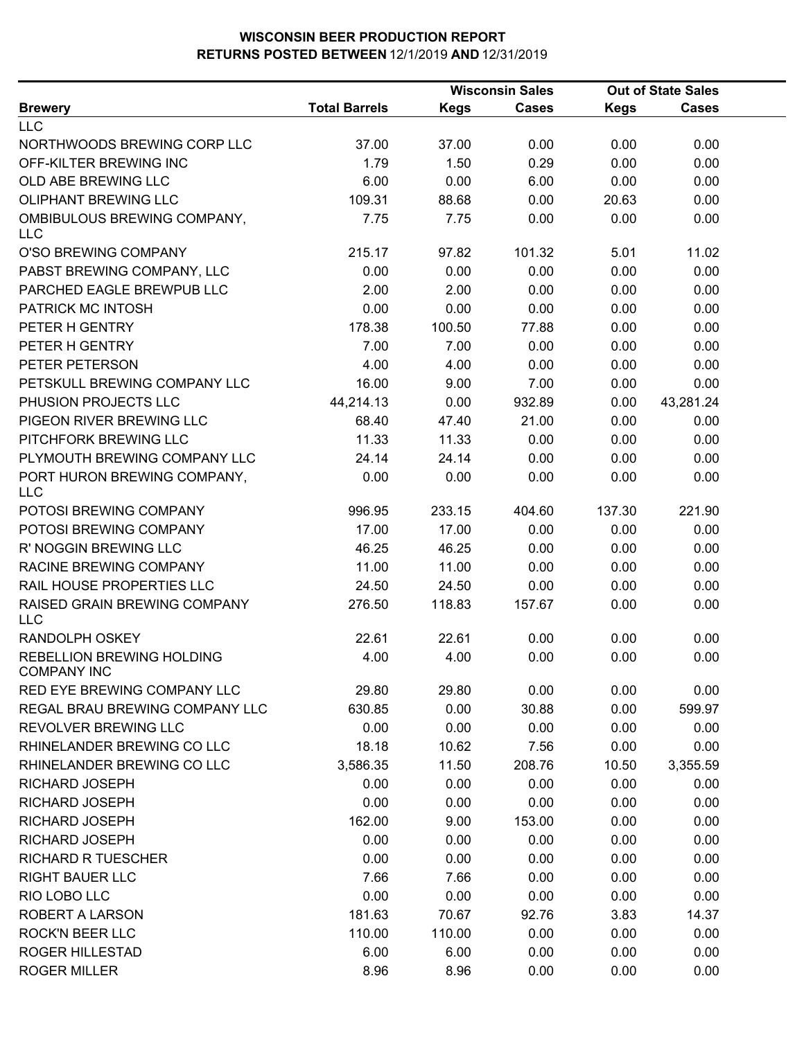|                                                        |                      | <b>Wisconsin Sales</b> |              | <b>Out of State Sales</b> |           |  |
|--------------------------------------------------------|----------------------|------------------------|--------------|---------------------------|-----------|--|
| <b>Brewery</b>                                         | <b>Total Barrels</b> | <b>Kegs</b>            | <b>Cases</b> | <b>Kegs</b>               | Cases     |  |
| <b>LLC</b>                                             |                      |                        |              |                           |           |  |
| NORTHWOODS BREWING CORP LLC                            | 37.00                | 37.00                  | 0.00         | 0.00                      | 0.00      |  |
| OFF-KILTER BREWING INC                                 | 1.79                 | 1.50                   | 0.29         | 0.00                      | 0.00      |  |
| OLD ABE BREWING LLC                                    | 6.00                 | 0.00                   | 6.00         | 0.00                      | 0.00      |  |
| OLIPHANT BREWING LLC                                   | 109.31               | 88.68                  | 0.00         | 20.63                     | 0.00      |  |
| OMBIBULOUS BREWING COMPANY,<br><b>LLC</b>              | 7.75                 | 7.75                   | 0.00         | 0.00                      | 0.00      |  |
| O'SO BREWING COMPANY                                   | 215.17               | 97.82                  | 101.32       | 5.01                      | 11.02     |  |
| PABST BREWING COMPANY, LLC                             | 0.00                 | 0.00                   | 0.00         | 0.00                      | 0.00      |  |
| PARCHED EAGLE BREWPUB LLC                              | 2.00                 | 2.00                   | 0.00         | 0.00                      | 0.00      |  |
| PATRICK MC INTOSH                                      | 0.00                 | 0.00                   | 0.00         | 0.00                      | 0.00      |  |
| PETER H GENTRY                                         | 178.38               | 100.50                 | 77.88        | 0.00                      | 0.00      |  |
| PETER H GENTRY                                         | 7.00                 | 7.00                   | 0.00         | 0.00                      | 0.00      |  |
| PETER PETERSON                                         | 4.00                 | 4.00                   | 0.00         | 0.00                      | 0.00      |  |
| PETSKULL BREWING COMPANY LLC                           | 16.00                | 9.00                   | 7.00         | 0.00                      | 0.00      |  |
| PHUSION PROJECTS LLC                                   | 44,214.13            | 0.00                   | 932.89       | 0.00                      | 43,281.24 |  |
| PIGEON RIVER BREWING LLC                               | 68.40                | 47.40                  | 21.00        | 0.00                      | 0.00      |  |
| PITCHFORK BREWING LLC                                  | 11.33                | 11.33                  | 0.00         | 0.00                      | 0.00      |  |
| PLYMOUTH BREWING COMPANY LLC                           | 24.14                | 24.14                  | 0.00         | 0.00                      | 0.00      |  |
| PORT HURON BREWING COMPANY,<br><b>LLC</b>              | 0.00                 | 0.00                   | 0.00         | 0.00                      | 0.00      |  |
| POTOSI BREWING COMPANY                                 | 996.95               | 233.15                 | 404.60       | 137.30                    | 221.90    |  |
| POTOSI BREWING COMPANY                                 | 17.00                | 17.00                  | 0.00         | 0.00                      | 0.00      |  |
| R' NOGGIN BREWING LLC                                  | 46.25                | 46.25                  | 0.00         | 0.00                      | 0.00      |  |
| RACINE BREWING COMPANY                                 | 11.00                | 11.00                  | 0.00         | 0.00                      | 0.00      |  |
| RAIL HOUSE PROPERTIES LLC                              | 24.50                | 24.50                  | 0.00         | 0.00                      | 0.00      |  |
| RAISED GRAIN BREWING COMPANY                           | 276.50               | 118.83                 | 157.67       | 0.00                      | 0.00      |  |
| <b>LLC</b>                                             |                      |                        |              |                           |           |  |
| RANDOLPH OSKEY                                         | 22.61                | 22.61                  | 0.00         | 0.00                      | 0.00      |  |
| <b>REBELLION BREWING HOLDING</b><br><b>COMPANY INC</b> | 4.00                 | 4.00                   | 0.00         | 0.00                      | 0.00      |  |
| <b>RED EYE BREWING COMPANY LLC</b>                     | 29.80                | 29.80                  | 0.00         | 0.00                      | 0.00      |  |
| REGAL BRAU BREWING COMPANY LLC                         | 630.85               | 0.00                   | 30.88        | 0.00                      | 599.97    |  |
| REVOLVER BREWING LLC                                   | 0.00                 | 0.00                   | 0.00         | 0.00                      | 0.00      |  |
| RHINELANDER BREWING CO LLC                             | 18.18                | 10.62                  | 7.56         | 0.00                      | 0.00      |  |
| RHINELANDER BREWING CO LLC                             | 3,586.35             | 11.50                  | 208.76       | 10.50                     | 3,355.59  |  |
| RICHARD JOSEPH                                         | 0.00                 | 0.00                   | 0.00         | 0.00                      | 0.00      |  |
| RICHARD JOSEPH                                         | 0.00                 | 0.00                   | 0.00         | 0.00                      | 0.00      |  |
| RICHARD JOSEPH                                         | 162.00               | 9.00                   | 153.00       | 0.00                      | 0.00      |  |
| <b>RICHARD JOSEPH</b>                                  | 0.00                 | 0.00                   | 0.00         | 0.00                      | 0.00      |  |
| <b>RICHARD R TUESCHER</b>                              | 0.00                 | 0.00                   | 0.00         | 0.00                      | 0.00      |  |
| <b>RIGHT BAUER LLC</b>                                 | 7.66                 | 7.66                   | 0.00         | 0.00                      | 0.00      |  |
| RIO LOBO LLC                                           | 0.00                 | 0.00                   | 0.00         | 0.00                      | 0.00      |  |
| ROBERT A LARSON                                        | 181.63               | 70.67                  | 92.76        | 3.83                      | 14.37     |  |
| <b>ROCK'N BEER LLC</b>                                 | 110.00               | 110.00                 | 0.00         | 0.00                      | 0.00      |  |
| <b>ROGER HILLESTAD</b>                                 | 6.00                 | 6.00                   | 0.00         | 0.00                      | 0.00      |  |
| <b>ROGER MILLER</b>                                    | 8.96                 | 8.96                   | 0.00         | 0.00                      | 0.00      |  |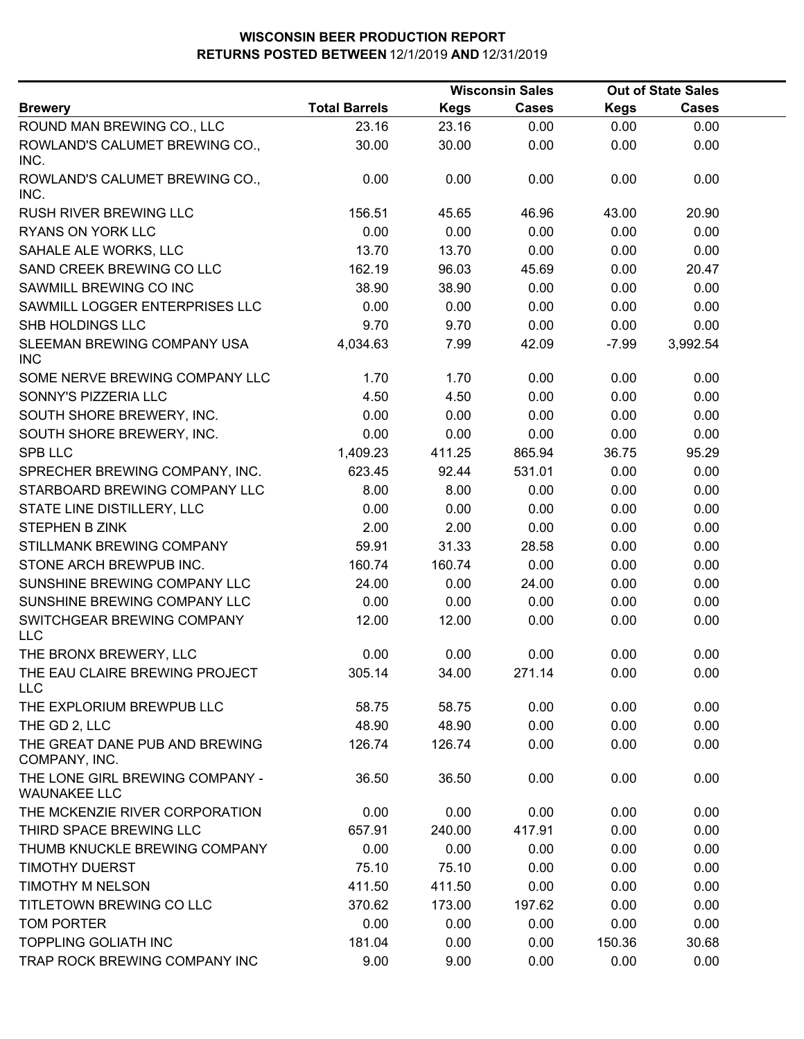|                                                        |                      | <b>Wisconsin Sales</b> |        | <b>Out of State Sales</b> |              |  |
|--------------------------------------------------------|----------------------|------------------------|--------|---------------------------|--------------|--|
| <b>Brewery</b>                                         | <b>Total Barrels</b> | <b>Kegs</b>            | Cases  | <b>Kegs</b>               | <b>Cases</b> |  |
| ROUND MAN BREWING CO., LLC                             | 23.16                | 23.16                  | 0.00   | 0.00                      | 0.00         |  |
| ROWLAND'S CALUMET BREWING CO.,<br>INC.                 | 30.00                | 30.00                  | 0.00   | 0.00                      | 0.00         |  |
| ROWLAND'S CALUMET BREWING CO.,<br>INC.                 | 0.00                 | 0.00                   | 0.00   | 0.00                      | 0.00         |  |
| RUSH RIVER BREWING LLC                                 | 156.51               | 45.65                  | 46.96  | 43.00                     | 20.90        |  |
| RYANS ON YORK LLC                                      | 0.00                 | 0.00                   | 0.00   | 0.00                      | 0.00         |  |
| SAHALE ALE WORKS, LLC                                  | 13.70                | 13.70                  | 0.00   | 0.00                      | 0.00         |  |
| SAND CREEK BREWING CO LLC                              | 162.19               | 96.03                  | 45.69  | 0.00                      | 20.47        |  |
| SAWMILL BREWING CO INC                                 | 38.90                | 38.90                  | 0.00   | 0.00                      | 0.00         |  |
| SAWMILL LOGGER ENTERPRISES LLC                         | 0.00                 | 0.00                   | 0.00   | 0.00                      | 0.00         |  |
| SHB HOLDINGS LLC                                       | 9.70                 | 9.70                   | 0.00   | 0.00                      | 0.00         |  |
| SLEEMAN BREWING COMPANY USA<br><b>INC</b>              | 4,034.63             | 7.99                   | 42.09  | $-7.99$                   | 3,992.54     |  |
| SOME NERVE BREWING COMPANY LLC                         | 1.70                 | 1.70                   | 0.00   | 0.00                      | 0.00         |  |
| SONNY'S PIZZERIA LLC                                   | 4.50                 | 4.50                   | 0.00   | 0.00                      | 0.00         |  |
| SOUTH SHORE BREWERY, INC.                              | 0.00                 | 0.00                   | 0.00   | 0.00                      | 0.00         |  |
| SOUTH SHORE BREWERY, INC.                              | 0.00                 | 0.00                   | 0.00   | 0.00                      | 0.00         |  |
| <b>SPB LLC</b>                                         | 1,409.23             | 411.25                 | 865.94 | 36.75                     | 95.29        |  |
| SPRECHER BREWING COMPANY, INC.                         | 623.45               | 92.44                  | 531.01 | 0.00                      | 0.00         |  |
| STARBOARD BREWING COMPANY LLC                          | 8.00                 | 8.00                   | 0.00   | 0.00                      | 0.00         |  |
| STATE LINE DISTILLERY, LLC                             | 0.00                 | 0.00                   | 0.00   | 0.00                      | 0.00         |  |
| <b>STEPHEN B ZINK</b>                                  | 2.00                 | 2.00                   | 0.00   | 0.00                      | 0.00         |  |
| STILLMANK BREWING COMPANY                              | 59.91                | 31.33                  | 28.58  | 0.00                      | 0.00         |  |
| STONE ARCH BREWPUB INC.                                | 160.74               | 160.74                 | 0.00   | 0.00                      | 0.00         |  |
| SUNSHINE BREWING COMPANY LLC                           | 24.00                | 0.00                   | 24.00  | 0.00                      | 0.00         |  |
| SUNSHINE BREWING COMPANY LLC                           | 0.00                 | 0.00                   | 0.00   | 0.00                      | 0.00         |  |
| SWITCHGEAR BREWING COMPANY<br><b>LLC</b>               | 12.00                | 12.00                  | 0.00   | 0.00                      | 0.00         |  |
| THE BRONX BREWERY, LLC                                 | 0.00                 | 0.00                   | 0.00   | 0.00                      | 0.00         |  |
| THE EAU CLAIRE BREWING PROJECT<br><b>LLC</b>           | 305.14               | 34.00                  | 271.14 | 0.00                      | 0.00         |  |
| THE EXPLORIUM BREWPUB LLC                              | 58.75                | 58.75                  | 0.00   | 0.00                      | 0.00         |  |
| THE GD 2, LLC                                          | 48.90                | 48.90                  | 0.00   | 0.00                      | 0.00         |  |
| THE GREAT DANE PUB AND BREWING<br>COMPANY, INC.        | 126.74               | 126.74                 | 0.00   | 0.00                      | 0.00         |  |
| THE LONE GIRL BREWING COMPANY -<br><b>WAUNAKEE LLC</b> | 36.50                | 36.50                  | 0.00   | 0.00                      | 0.00         |  |
| THE MCKENZIE RIVER CORPORATION                         | 0.00                 | 0.00                   | 0.00   | 0.00                      | 0.00         |  |
| THIRD SPACE BREWING LLC                                | 657.91               | 240.00                 | 417.91 | 0.00                      | 0.00         |  |
| THUMB KNUCKLE BREWING COMPANY                          | 0.00                 | 0.00                   | 0.00   | 0.00                      | 0.00         |  |
| <b>TIMOTHY DUERST</b>                                  | 75.10                | 75.10                  | 0.00   | 0.00                      | 0.00         |  |
| TIMOTHY M NELSON                                       | 411.50               | 411.50                 | 0.00   | 0.00                      | 0.00         |  |
| TITLETOWN BREWING CO LLC                               | 370.62               | 173.00                 | 197.62 | 0.00                      | 0.00         |  |
| TOM PORTER                                             | 0.00                 | 0.00                   | 0.00   | 0.00                      | 0.00         |  |
| <b>TOPPLING GOLIATH INC</b>                            | 181.04               | 0.00                   | 0.00   | 150.36                    | 30.68        |  |
| TRAP ROCK BREWING COMPANY INC                          | 9.00                 | 9.00                   | 0.00   | 0.00                      | 0.00         |  |